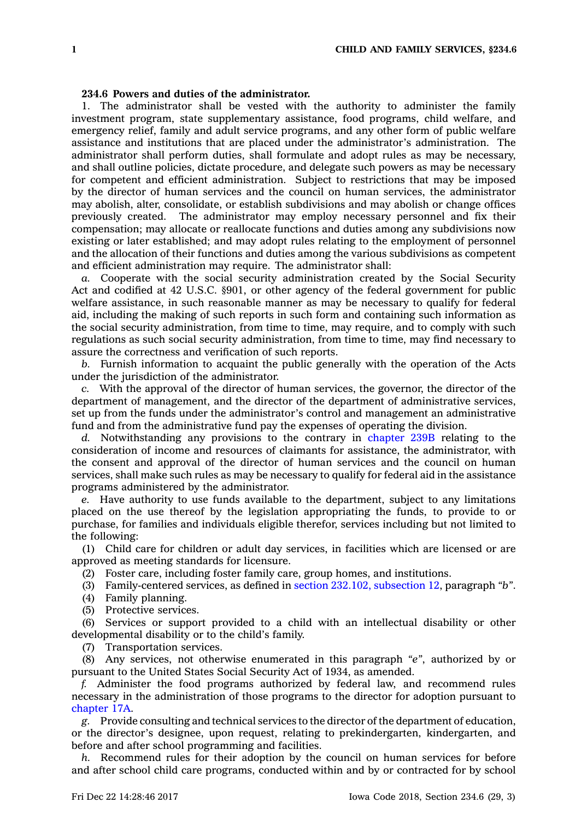## **234.6 Powers and duties of the administrator.**

1. The administrator shall be vested with the authority to administer the family investment program, state supplementary assistance, food programs, child welfare, and emergency relief, family and adult service programs, and any other form of public welfare assistance and institutions that are placed under the administrator's administration. The administrator shall perform duties, shall formulate and adopt rules as may be necessary, and shall outline policies, dictate procedure, and delegate such powers as may be necessary for competent and efficient administration. Subject to restrictions that may be imposed by the director of human services and the council on human services, the administrator may abolish, alter, consolidate, or establish subdivisions and may abolish or change offices previously created. The administrator may employ necessary personnel and fix their compensation; may allocate or reallocate functions and duties among any subdivisions now existing or later established; and may adopt rules relating to the employment of personnel and the allocation of their functions and duties among the various subdivisions as competent and efficient administration may require. The administrator shall:

*a.* Cooperate with the social security administration created by the Social Security Act and codified at 42 U.S.C. §901, or other agency of the federal government for public welfare assistance, in such reasonable manner as may be necessary to qualify for federal aid, including the making of such reports in such form and containing such information as the social security administration, from time to time, may require, and to comply with such regulations as such social security administration, from time to time, may find necessary to assure the correctness and verification of such reports.

*b.* Furnish information to acquaint the public generally with the operation of the Acts under the jurisdiction of the administrator.

*c.* With the approval of the director of human services, the governor, the director of the department of management, and the director of the department of administrative services, set up from the funds under the administrator's control and management an administrative fund and from the administrative fund pay the expenses of operating the division.

*d.* Notwithstanding any provisions to the contrary in [chapter](https://www.legis.iowa.gov/docs/code//239B.pdf) 239B relating to the consideration of income and resources of claimants for assistance, the administrator, with the consent and approval of the director of human services and the council on human services, shall make such rules as may be necessary to qualify for federal aid in the assistance programs administered by the administrator.

*e.* Have authority to use funds available to the department, subject to any limitations placed on the use thereof by the legislation appropriating the funds, to provide to or purchase, for families and individuals eligible therefor, services including but not limited to the following:

(1) Child care for children or adult day services, in facilities which are licensed or are approved as meeting standards for licensure.

(2) Foster care, including foster family care, group homes, and institutions.

(3) Family-centered services, as defined in section 232.102, [subsection](https://www.legis.iowa.gov/docs/code/232.102.pdf) 12, paragraph *"b"*.

- (4) Family planning.
- (5) Protective services.

(6) Services or support provided to <sup>a</sup> child with an intellectual disability or other developmental disability or to the child's family.

(7) Transportation services.

(8) Any services, not otherwise enumerated in this paragraph *"e"*, authorized by or pursuant to the United States Social Security Act of 1934, as amended.

*f.* Administer the food programs authorized by federal law, and recommend rules necessary in the administration of those programs to the director for adoption pursuant to [chapter](https://www.legis.iowa.gov/docs/code//17A.pdf) 17A.

*g.* Provide consulting and technical services to the director of the department of education, or the director's designee, upon request, relating to prekindergarten, kindergarten, and before and after school programming and facilities.

*h.* Recommend rules for their adoption by the council on human services for before and after school child care programs, conducted within and by or contracted for by school